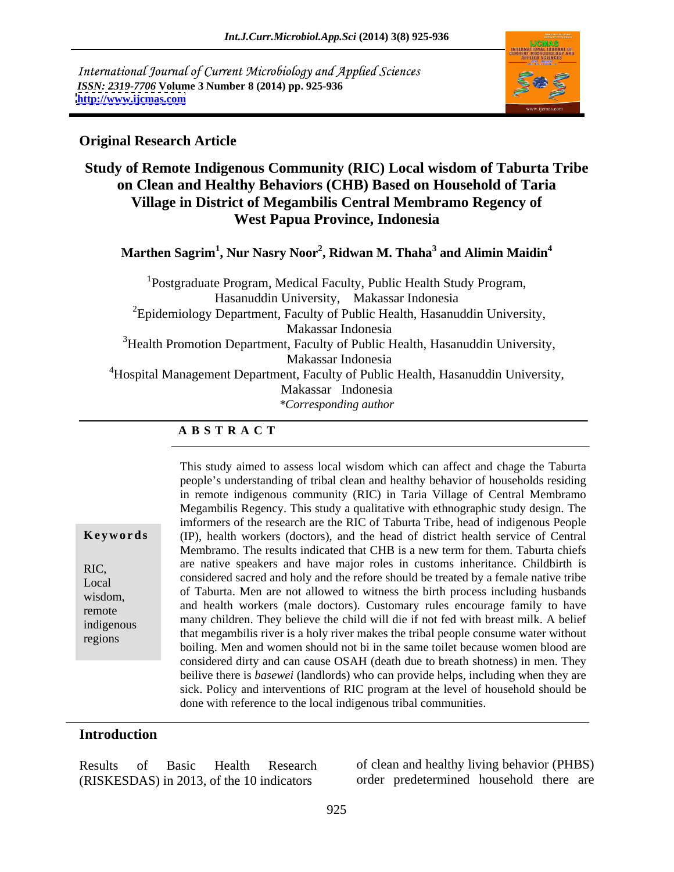International Journal of Current Microbiology and Applied Sciences *ISSN: 2319-7706* **Volume 3 Number 8 (2014) pp. 925-936 <http://www.ijcmas.com>**



### **Original Research Article**

### **Study of Remote Indigenous Community (RIC) Local wisdom of Taburta Tribe on Clean and Healthy Behaviors (CHB) Based on Household of Taria Village in District of Megambilis Central Membramo Regency of West Papua Province, Indonesia**

**Marthen Sagrim<sup>1</sup> , Nur Nasry Noor<sup>2</sup> , Ridwan M. Thaha<sup>3</sup> and Alimin Maidin<sup>4</sup>**

<sup>1</sup>Postgraduate Program, Medical Faculty, Public Health Study Program, Hasanuddin University, Makassar Indonesia  ${}^{2}$ Epidemiology Department, Faculty of Public Health, Hasanuddin University, Makassar Indonesia <sup>3</sup> Health Promotion Department, Faculty of Public Health, Hasanuddin University, Makassar Indonesia <sup>4</sup>Hospital Management Department, Faculty of Public Health, Hasanuddin University, Makassar Indonesia *\*Corresponding author* 

### **A B S T R A C T**

**Keywords** (IP), health workers (doctors), and the head of district health service of Central RIC, are native speakers and have major roles in customs inheritance. Childbirth is Local considered sacred and holy and the refore should be treated by a female native tribe  $\frac{1}{200}$  of Taburta. Men are not allowed to witness the birth process including husbands external and health workers (male doctors). Customary rules encourage family to have remote many children. They believe the child will die if not fed with breast milk. A belief indigenous that megambilis river is a holy river makes the tribal people consume water without regions This study aimed to assess local wisdom which can affect and chage the Taburta people's understanding of tribal clean and healthy behavior of households residing in remote indigenous community (RIC) in Taria Village of Central Membramo Megambilis Regency. This study a qualitative with ethnographic study design. The imformers of the research are the RIC of Taburta Tribe, head of indigenous People Membramo. The results indicated that CHB is a new term for them. Taburta chiefs boiling. Men and women should not bi in the same toilet because women blood are considered dirty and can cause OSAH (death due to breath shotness) in men. They beilive there is *basewei* (landlords) who can provide helps, including when they are sick. Policy and interventions of RIC program at the level of household should be done with reference to the local indigenous tribal communities.

### **Introduction**

| Healt.                                                                    | ior (PHBS,                                    |
|---------------------------------------------------------------------------|-----------------------------------------------|
| <b>Results</b>                                                            | clean and healthy                             |
| Research                                                                  | 11V1N.                                        |
| -152S1                                                                    | pehavior                                      |
| (RISKESDAS) in 201<br>$\sim$ $\sim$ $\sim$<br>indicators<br>the<br>. וחיי | predetermined<br>household there are<br>order |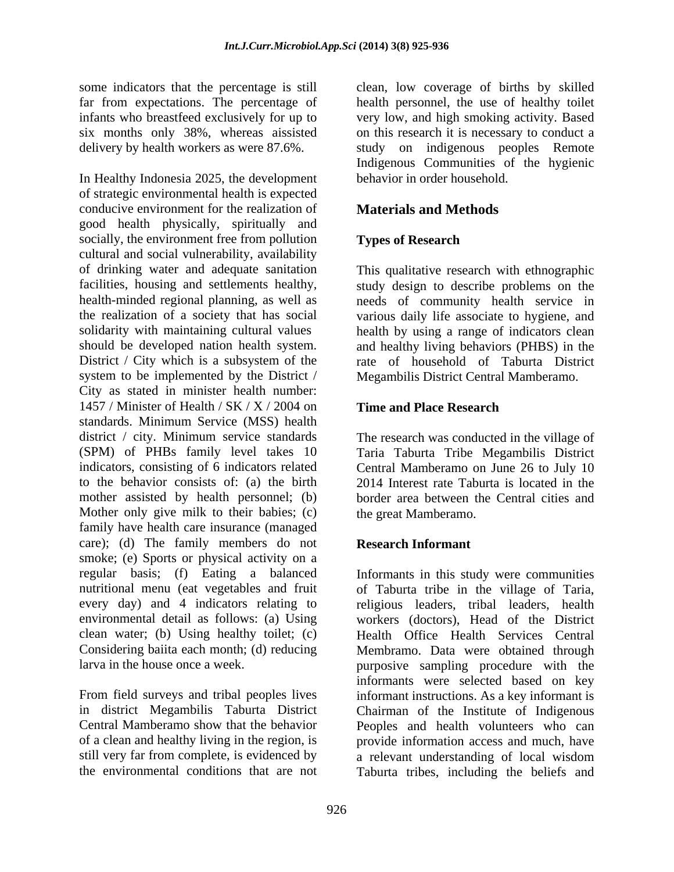some indicators that the percentage is still far from expectations. The percentage of health personnel, the use of healthy toilet infants who breastfeed exclusively for up to very low, and high smoking activity. Based six months only 38%, whereas aissisted on this research it is necessary to conduct a delivery by health workers as were 87.6%. study on indigenous peoples Remote

In Healthy Indonesia 2025, the development behavior in order household. of strategic environmental health is expected conducive environment for the realization of good health physically, spiritually and socially, the environment free from pollution cultural and social vulnerability, availability of drinking water and adequate sanitation This qualitative research with ethnographic facilities, housing and settlements healthy, study design to describe problems on the health-minded regional planning, as well as seeds of community health service in the realization of a society that has social various daily life associate to hygiene, and solidarity with maintaining cultural values health by using a range of indicators clean should be developed nation health system. and healthy living behaviors (PHBS) in the District / City which is a subsystem of the rate of household of Taburta District system to be implemented by the District / City as stated in minister health number: 1457 / Minister of Health / SK / X / 2004 on standards. Minimum Service (MSS) health district / city. Minimum service standards The research was conducted in the village of (SPM) of PHBs family level takes 10 Taria Taburta Tribe Megambilis District indicators, consisting of 6 indicators related to the behavior consists of: (a) the birth 2014 Interest rate Taburta is located in the mother assisted by health personnel; (b) border area between the Central cities and Mother only give milk to their babies; (c) family have health care insurance (managed care); (d) The family members do not smoke; (e) Sports or physical activity on a regular basis; (f) Eating a balanced nutritional menu (eat vegetables and fruit of Taburta tribe in the village of Taria, every day) and 4 indicators relating to religious leaders, tribal leaders, health environmental detail as follows: (a) Using workers (doctors), Head of the District clean water; (b) Using healthy toilet; (c)<br>Considering bailta each month; (d) reducing Considering baiita each month; (d) reducing Membramo. Data were obtained through

clean, low coverage of births by skilled Indigenous Communities of the hygienic behavior in order household.

### **Materials and Methods**

### **Types of Research**

study design to describe problems on the needs of community health service in Megambilis District Central Mamberamo.

### **Time and Place Research**

Central Mamberamo on June 26 to July 10 the great Mamberamo.

### **Research Informant**

larva in the house once a week.<br>
From field surveys and tribal peoples lives<br>
From field surveys and tribal peoples lives<br>
From field surveys and tribal peoples lives<br>
From field surveys and tribal peoples lives<br>
From the in district Megambilis Taburta District Chairman of the Institute of Indigenous Central Mamberamo show that the behavior Peoples and health volunteers who can of a clean and healthy living in the region, is provide information access and much, have still very far from complete, is evidenced by a relevant understanding of local wisdom the environmental conditions that are not Taburta tribes, including the beliefs and Informants in this study were communities Health Office Health Services Central purposive sampling procedure with the informants were selected based on key informant instructions. As a key informant is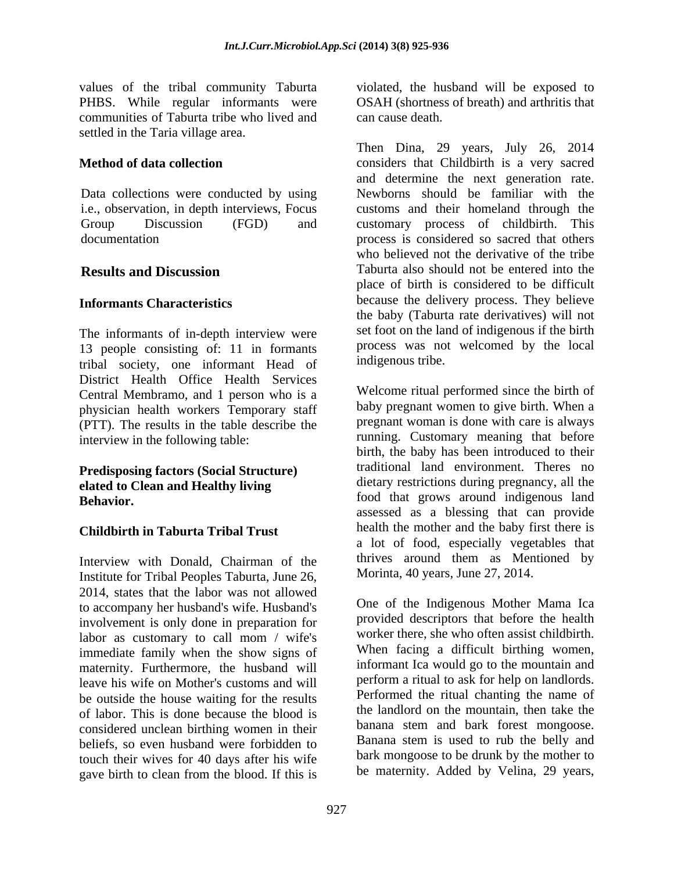communities of Taburta tribe who lived and settled in the Taria village area.

Data collections were conducted by using Newborns should be familiar with the

The informants of in-depth interview were 13 people consisting of: 11 in formants process was no<br>tribal society one informant Head of indigenous tribe. tribal society, one informant Head of District Health Office Health Services<br>Central Membramo and 1 person who is a<br>Welcome ritual performed since the birth of Central Membramo, and 1 person who is a physician health workers Temporary staff (PTT). The results in the table describe the

## **Predisposing factors (Social Structure) elated to Clean and Healthy living**

### **Childbirth in Taburta Tribal Trust**

Interview with Donald, Chairman of the the thrives around them as Men<br>Institute for Tribal Peoples Taburta June 26 Morinta, 40 years, June 27, 2014. Institute for Tribal Peoples Taburta, June 26, 2014, states that the labor was not allowed<br>to accompany her husband's wife Husband's<br>One of the Indigenous Mother Mama Ica to accompany her husband's wife. Husband's involvement is only done in preparation for the provided descriptors that before the health<br>labor as customary to call mom / wife's worker there, she who often assist childbirth. labor as customary to call mom / wife's<br>immediate family when the show signs of When facing a difficult birthing women, immediate family when the show signs of When facing a difficult birthing women,<br>maternity Eurthermore, the bushand will informant Ica would go to the mountain and maternity. Furthermore, the husband will informant Ica would go to the mountain and leave his wife on Mother's customs and will perform a ritual to ask for help on landlords. leave his wife on Mother's customs and will<br>he outside the house waiting for the results energy experience of the results be outside the house waiting for the results of labor. This is done because the blood is the landlord on the mountain, then take the considered unclean birthing women in their banana stem and bark forest mongoose. considered unclean birthing women in their<br>baliafs so even bushand were forbidden to Banana stem is used to rub the belly and beliefs, so even husband were forbidden to touch their wives for 40 days after his wife gave birth to clean from the blood. If this is

values of the tribal community Taburta conducted, the husband will be exposed to PHBS. While regular informants were OSAH (shortness of breath) and arthritis that

**Method of data collection**  considers that Childbirth is a very sacred i.e., observation, in depth interviews, Focus customs and their homeland through the Group Discussion (FGD) and customary process of childbirth. This documentation process is considered so sacred that others **Results and Discussion** Taburta also should not be entered into the **Informants Characteristics**  because the delivery process. They believe can cause death. Then Dina, 29 years, July 26, <sup>2014</sup> and determine the next generation rate. Newborns should be familiar with the who believed not the derivative of the tribe place of birth is considered to be difficult the baby (Taburta rate derivatives) will not set foot on the land of indigenous if the birth process was not welcomed by the local

interview in the following table: Tunning. Customary meaning that before **Behavior.** The state of the state of that grows around indigenous land indigenous tribe. Welcome ritual performed since the birth of baby pregnant women to give birth. When a pregnant woman is done with care is always running. Customary meaning that before birth, the baby has been introduced to their traditional land environment. Theres no dietary restrictions during pregnancy, all the assessed as a blessing that can provide health the mother and the baby first there is a lot of food, especially vegetables that thrives around them as Mentioned by

Morinta, 40 years, June 27, 2014. One of the Indigenous Mother Mama Ica provided descriptors that before the health worker there, she who often assist childbirth. When facing <sup>a</sup> difficult birthing women, informant Ica would go to the mountain and perform <sup>a</sup> ritual to ask for help on landlords. Performed the ritual chanting the name of the landlord on the mountain, then take the banana stem and bark forest mongoose. Banana stem is used to rub the belly and bark mongoose to be drunk by the mother to be maternity. Added by Velina, 29 years,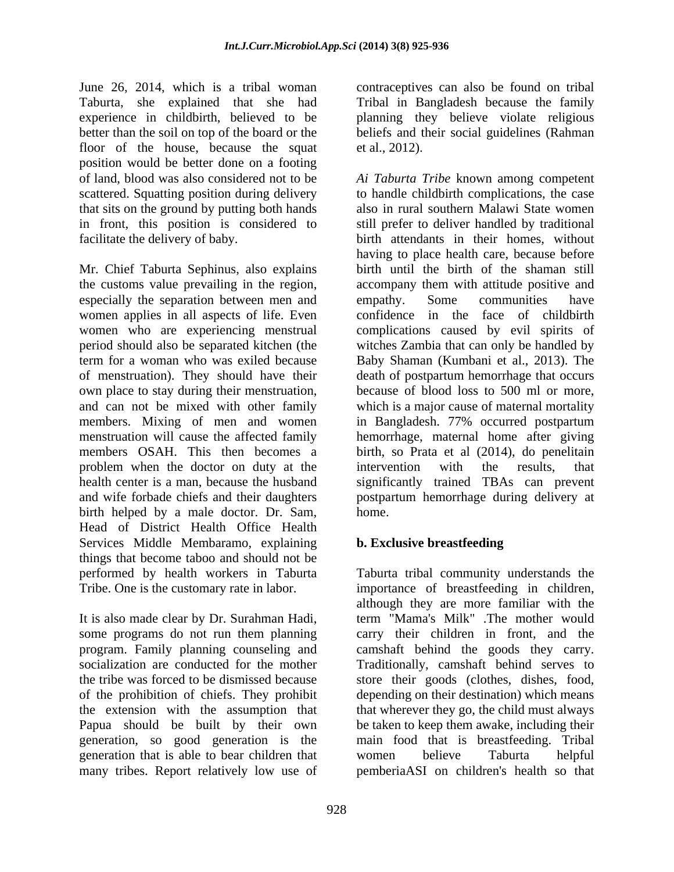June 26, 2014, which is a tribal woman contraceptives can also be found on tribal Taburta, she explained that she had Tribal in Bangladesh because the family experience in childbirth, believed to be better than the soil on top of the board or the beliefs and their social guidelines (Rahman floor of the house, because the squat et al.,  $2012$ ). position would be better done on a footing scattered. Squatting position during delivery that sits on the ground by putting both hands in front, this position is considered to

women applies in all aspects of life. Even period should also be separated kitchen (the problem when the doctor on duty at the intervention with the results, that birth helped by a male doctor. Dr. Sam, home.<br>Head of District Health Office Health Services Middle Membaramo, explaining things that become taboo and should not be performed by health workers in Taburta

of the prohibition of chiefs. They prohibit generation that is able to bear children that women believe Taburta helpful

planning they believe violate religious et al., 2012).

of land, blood was also considered not to be *Ai Taburta Tribe* known among competent facilitate the delivery of baby.<br>
Mr. Chief Taburta Sephinus, also explains<br>
Mr. Chief Taburta Sephinus, also explains<br>
Mr. Chief Taburta Sephinus, also explains<br>
Mr. Chief Taburta Sephinus, also explains<br>
Mr. Chief Taburt the customs value prevailing in the region, accompany them with attitude positive and especially the separation between men and empathy. Some communities have women who are experiencing menstrual complications caused by evil spirits of term for a woman who was exiled because Baby Shaman (Kumbani et al., 2013). The of menstruation). They should have their death of postpartum hemorrhage that occurs own place to stay during their menstruation, because of blood loss to 500 ml or more,<br>and can not be mixed with other family which is a major cause of maternal mortality members. Mixing of men and women in Bangladesh. 77% occurred postpartum menstruation will cause the affected family hemorrhage, maternal home after giving members OSAH. This then becomes a birth, so Prata et al (2014), do penelitain health center is a man, because the husband significantly trained TBAs can prevent and wife forbade chiefs and their daughters postpartum hemorrhage during delivery at to handle childbirth complications, the case also in rural southern Malawi State women still prefer to deliver handled by traditional birth attendants in their homes, without having to place health care, because before birth until the birth of the shaman still accompany them with attitude positive and empathy. Some communities have confidence in the face of childbirth witches Zambia that can only be handled by because of blood loss to <sup>500</sup> ml or more, which is <sup>a</sup> major cause of maternal mortality intervention with the results, that home.

### **b. Exclusive breastfeeding**

Tribe. One is the customary rate in labor. importance of breastfeeding in children, It is also made clear by Dr. Surahman Hadi, iterm "Mama's Milk" .The mother would some programs do not run them planning iterm their children in front, and the program. Family planning counseling and camshaft behind the goods they carry. socialization are conducted for the mother Traditionally, camshaft behind serves to the tribe was forced to be dismissed because store their goods (clothes, dishes, food, the extension with the assumption that that wherever they go, the child must always Papua should be built by their own be taken to keep them awake, including their generation, so good generation is the main food that is breastfeeding. Tribal many tribes. Report relatively low use of pemberiaASI on children's health so thatTaburta tribal community understands the although they are more familiar with the term "Mama's Milk" .The mother would carry their children in front, and the depending on their destination) which means women believe Taburta helpful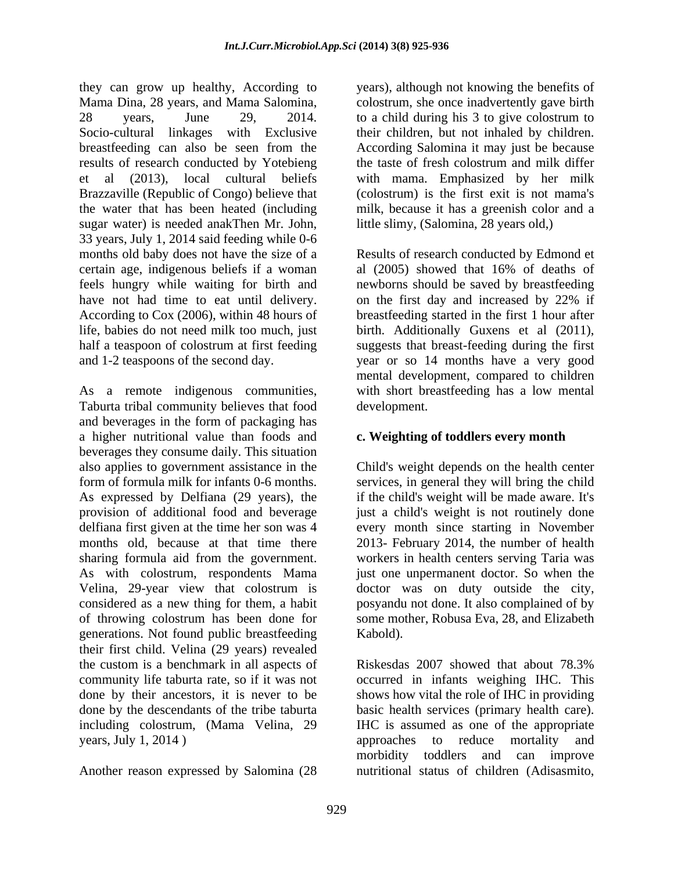they can grow up healthy, According to Mama Dina, 28 years, and Mama Salomina, colostrum, she once inadvertently gave birth 28 years, June 29, 2014. to a child during his 3 to give colostrum to Socio-cultural linkages with Exclusive their children, but not inhaled by children. breastfeeding can also be seen from the results of research conducted by Yotebieng et al (2013), local cultural beliefs with mama. Emphasized by her milk Brazzaville (Republic of Congo) believe that (colostrum) is the first exit is not mama's the water that has been heated (including milk, because it has a greenish color and a sugar water) is needed anakThen Mr. John, 33 years, July 1, 2014 said feeding while 0-6 months old baby does not have the size of a Results of research conducted by Edmond et certain age, indigenous beliefs if a woman al (2005) showed that 16% of deaths of feels hungry while waiting for birth and have not had time to eat until delivery. on the first day and increased by 22% if According to Cox (2006), within 48 hours of breastfeeding started in the first 1 hour after life, babies do not need milk too much, just birth. Additionally Guxens et al (2011), half a teaspoon of colostrum at first feeding suggests that breast-feeding during the first

As a remote indigenous communities, with short breastfeeding has a low mental Taburta tribal community believes that food and beverages in the form of packaging has a higher nutritional value than foods and beverages they consume daily. This situation also applies to government assistance in the Child's weight depends on the health center form of formula milk for infants 0-6 months. services, in general they will bring the child As expressed by Delfiana (29 years), the if the child's weight will be made aware. It's provision of additional food and beverage iust a child's weight is not routinely done delfiana first given at the time her son was 4 every month since starting in November months old, because at that time there 2013- February 2014, the number of health sharing formula aid from the government. workers in health centers serving Taria was As with colostrum, respondents Mama just one unpermanent doctor. So when the Velina, 29-year view that colostrum is doctor was on duty outside the city, considered as a new thing for them, a habit posyandu not done. It also complained of by of throwing colostrum has been done for some mother, Robusa Eva, 28, and Elizabeth generations. Not found public breastfeeding their first child. Velina (29 years) revealed years, July 1, 2014) approaches to reduce mortality and

Another reason expressed by Salomina (28

years), although not knowing the benefits of their children, but not inhaled by children. According Salomina it may just be because the taste of fresh colostrum and milk differ little slimy, (Salomina, 28 years old,)

and 1-2 teaspoons of the second day. year or so 14 months have a very good al (2005) showed that 16% of deaths of newborns should be saved by breastfeeding mental development, compared to children development.

### **c. Weighting of toddlers every month**

doctor was on duty outside the city, posyandu not done. It also complained of by Kabold).

the custom is a benchmark in all aspects of Riskesdas 2007 showed that about 78.3% community life taburta rate, so if it was not occurred in infants weighing IHC. This done by their ancestors, it is never to be shows how vital the role of IHC in providing done by the descendants of the tribe taburta basic health services (primary health care). including colostrum, (Mama Velina, 29 IHC is assumed as one of the appropriate approaches to reduce mortality and morbidity toddlers and can improve nutritional status of children (Adisasmito,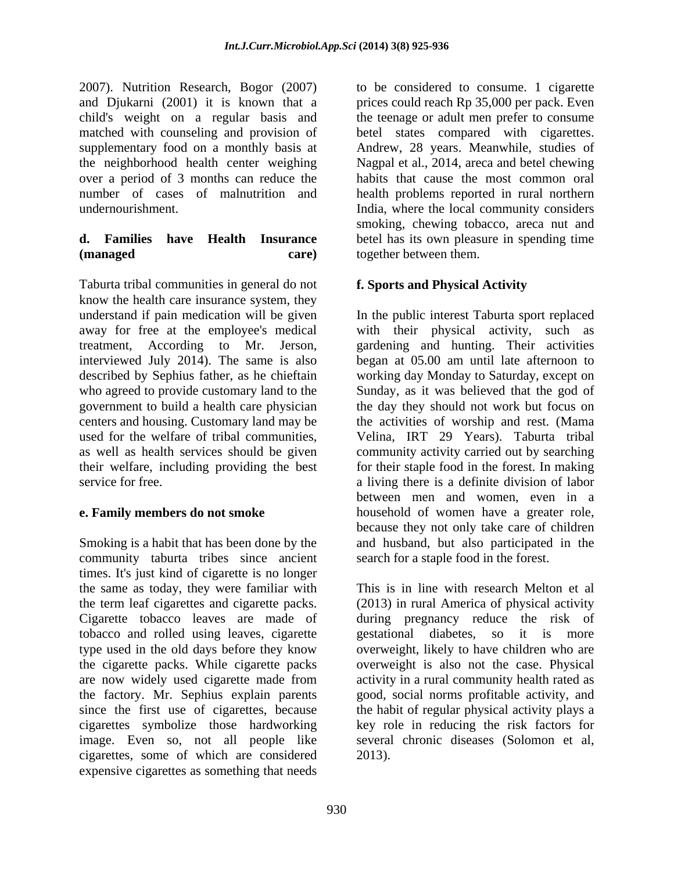2007). Nutrition Research, Bogor (2007) and Djukarni (2001) it is known that a prices could reach Rp 35,000 per pack. Even child's weight on a regular basis and the teenage or adult men prefer to consume matched with counseling and provision of betel states compared with cigarettes. supplementary food on a monthly basis at Andrew, 28 years. Meanwhile, studies of the neighborhood health center weighing Nagpal et al., 2014, areca and betel chewing over a period of 3 months can reduce the habits that cause the most common oral number of cases of malnutrition and health problems reported in rural northern undernourishment. India, where the local community considers

# **(managed care) care care care care care care care care care care care c**

Taburta tribal communities in general do not know the health care insurance system, they understand if pain medication will be given interviewed July 2014). The same is also centers and housing. Customary land may be

Smoking is a habit that has been done by the and husband, but also participated in the community taburta tribes since ancient search for a staple food in the forest. times. It's just kind of cigarette is no longer the same as today, they were familiar with This is in line with research Melton et al the term leaf cigarettes and cigarette packs. (2013) in rural America of physical activity Cigarette tobacco leaves are made of during pregnancy reduce the risk of tobacco and rolled using leaves, cigarette gestational diabetes, so it is more type used in the old days before they know overweight, likely to have children who are the cigarette packs. While cigarette packs overweight is also not the case. Physical are now widely used cigarette made from activity in a rural community health rated as the factory. Mr. Sephius explain parents good, social norms profitable activity, and since the first use of cigarettes, because the habit of regular physical activity plays a cigarettes symbolize those hardworking image. Even so, not all people like several chronic diseases (Solomon et al. cigarettes, some of which are considered expensive cigarettes as something that needs

**d. Families have Health Insurance** betel has its own pleasure in spending time to be considered to consume. 1 cigarette smoking, chewing tobacco, areca nut and together between them.

### **f. Sports and Physical Activity**

away for free at the employee's medical with their physical activity, such as treatment, According to Mr. Jerson, gardening and hunting. Their activities described by Sephius father, as he chieftain working day Monday to Saturday, except on who agreed to provide customary land to the Sunday, as it was believed that the god of government to build a health care physician the day they should not work but focus on used for the welfare of tribal communities, Velina, IRT 29 Years). Taburta tribal as well as health services should be given community activity carried out by searching their welfare, including providing the best for their staple food in the forest. In making service for free. a living there is a definite division of labor **e. Family members do not smoke household** of women have a greater role, In the public interest Taburta sport replaced began at 05.00 am until late afternoon to the activities of worship and rest. (Mama between men and women, even in a household of women have <sup>a</sup> greater role, because they not only take care of children

search for a staple food in the forest. This is in line with research Melton et al gestational diabetes, so it is more key role in reducing the risk factors for several chronic diseases (Solomon et al, 2013).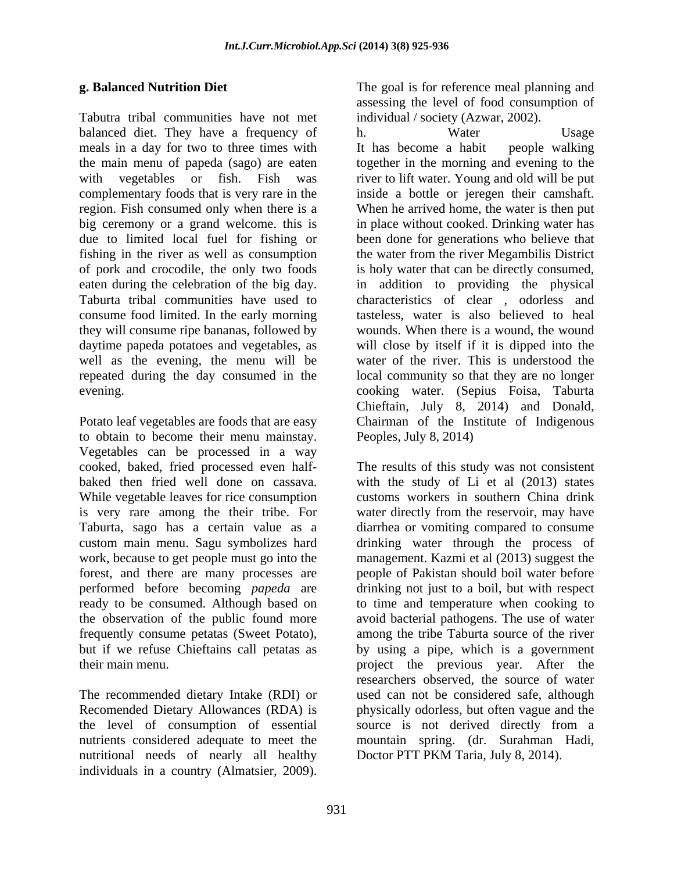Tabutra tribal communities have not met balanced diet. They have a frequency of h. Water Usage meals in a day for two to three times with It has become a habit people walking they will consume ripe bananas, followed by

to obtain to become their menu mainstay. Vegetables can be processed in a way is very rare among the their tribe. For frequently consume petatas (Sweet Potato),

nutritional needs of nearly all healthy individuals in a country (Almatsier, 2009).

**g. Balanced Nutrition Diet** assessing the level of food consumption of individual / society (Azwar, 2002).

the main menu of papeda (sago) are eaten together in the morning and evening to the with vegetables or fish. Fish was river to lift water. Young and old will be put complementary foods that is very rare in the inside a bottle or jeregen their camshaft. region. Fish consumed only when there is a When he arrived home, the water is then put big ceremony or a grand welcome. this is in place without cooked. Drinking water has due to limited local fuel for fishing or been done for generations who believe that fishing in the river as well as consumption the water from the river Megambilis District of pork and crocodile, the only two foods is holy water that can be directly consumed, eaten during the celebration of the big day. <br>
Taburta tribal communities have used to characteristics of clear, odorless and consume food limited. In the early morning tasteless, water is also believed to heal daytime papeda potatoes and vegetables, as will close by itself if it is dipped into the well as the evening, the menu will be water of the river. This is understood the repeated during the day consumed in the local community so that they are no longer evening. Potato leaf vegetables are foods that are easy **E Balanced Nutrition Dist and its model in a country of the country control in the state of the country of the country of the state of the state of the state of the state of the state of the state of the state of the sta** h. Water Usage It has become a habit people walking in addition to providing the physical characteristics of clear , odorless and wounds. When there is a wound, the wound cooking water. (Sepius Foisa, Taburta Chieftain, July 8, 2014) and Donald, Chairman of the Institute of Indigenous Peoples, July 8, 2014)

cooked, baked, fried processed even half- The results of this study was not consistent baked then fried well done on cassava. With the study of Li et al (2013) states<br>While vegetable leaves for rice consumption customs workers in southern China drink Taburta, sago has a certain value as a diarrhea or vomiting compared to consume custom main menu. Sagu symbolizes hard drinking water through the process of work, because to get people must go into the management. Kazmi et al (2013) suggest the forest, and there are many processes are people of Pakistan should boil water before performed before becoming *papeda* are drinking not just to a boil, but with respect ready to be consumed. Although based on to time and temperature when cooking to the observation of the public found more avoid bacterial pathogens. The use of water but if we refuse Chieftains call petatas as by using a pipe, which is a government their main menu.<br>
The recommended dietary Intake (RDI) or the researchers observed, the source of water<br>
The recommended dietary Intake (RDI) or the considered safe, although Recomended Dietary Allowances (RDA) is physically odorless, but often vague and the the level of consumption of essential source is not derived directly from a nutrients considered adequate to meet the mountain spring. (dr. Surahman Hadi, with the study of Li et al (2013) states customs workers in southern China drink water directly from the reservoir, may have among the tribe Taburta source of the river project the previous year. After the researchers observed, the source of water used can not be considered safe, although Doctor PTT PKM Taria, July 8, 2014).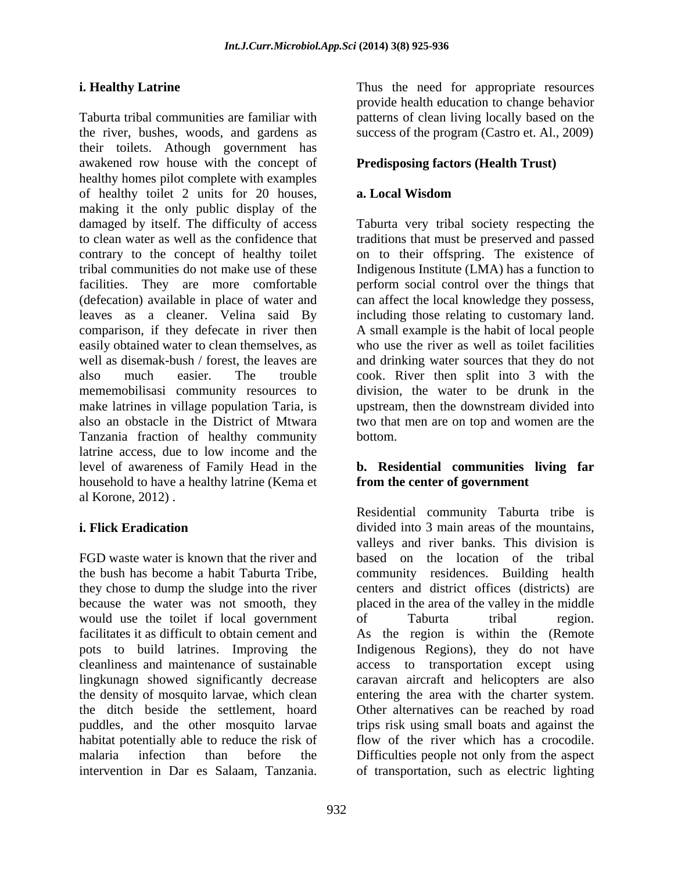Taburta tribal communities are familiar with patterns of clean living locally based on the the river, bushes, woods, and gardens as success of the program (Castro et. Al., 2009) their toilets. Athough government has awakened row house with the concept of healthy homes pilot complete with examples of healthy toilet 2 units for 20 houses, making it the only public display of the damaged by itself. The difficulty of access Taburta very tribal society respecting the to clean water as well as the confidence that traditions that must be preserved and passed contrary to the concept of healthy toilet on to their offspring. The existence of tribal communities do not make use of these Indigenous Institute (LMA) has a function to facilities. They are more comfortable perform social control over the things that (defecation) available in place of water and can affect the local knowledge they possess, leaves as a cleaner. Velina said By including those relating to customary land. comparison, if they defecate in river then A small example is the habit of local people easily obtained water to clean themselves, as<br>well as disemak-bush / forest, the leaves are well as disemak-bush / forest, the leaves are and drinking water sources that they do not also much easier. The trouble cook. River then split into 3 with the mememobilisasi community resources to make latrines in village population Taria, is upstream, then the downstream divided into also an obstacle in the District of Mtwara two that men are on top and women are the Tanzania fraction of healthy community latrine access, due to low income and the level of awareness of Family Head in the **b. Residential communities living far** household to have a healthy latrine (Kema et al Korone, 2012) . **Example 1. Evaluate Latrine Task the need for appropriate resources.**<br>
The need for approximates are fundise with power of a point in power of the need for a spectra content in the need for a<br>
the rest resolution in the

would use the toilet if local government of Taburta tribal region. lingkunagn showed significantly decrease puddles, and the other mosquito larvae

932

**i. Healthy Latrine** Thus the need for appropriate resources provide health education to change behavior

### **Predisposing factors (Health Trust)**

### **a. Local Wisdom**

who use the river as well as toilet facilities division, the water to be drunk in the bottom.

## **from the center of government**

**i. Flick Eradication**  divided into 3 main areas of the mountains, FGD waste water is known that the river and based on the location of the tribal the bush has become a habit Taburta Tribe, community residences. Building health they chose to dump the sludge into the river centers and district offices (districts) are because the water was not smooth, they placed in the area of the valley in the middle facilitates it as difficult to obtain cement and As the region is within the (Remote pots to build latrines. Improving the Indigenous Regions), they do not have cleanliness and maintenance of sustainable access to transportation except using the density of mosquito larvae, which clean entering the area with the charter system. the ditch beside the settlement, hoard Other alternatives can be reached by road habitat potentially able to reduce the risk of flow of the river which has a crocodile. malaria infection than before the Difficulties people not only from the aspect Residential community Taburta tribe is valleys and river banks. This division is of Taburta tribal region. caravan aircraft and helicopters are also trips risk using small boats and against the of transportation, such as electric lighting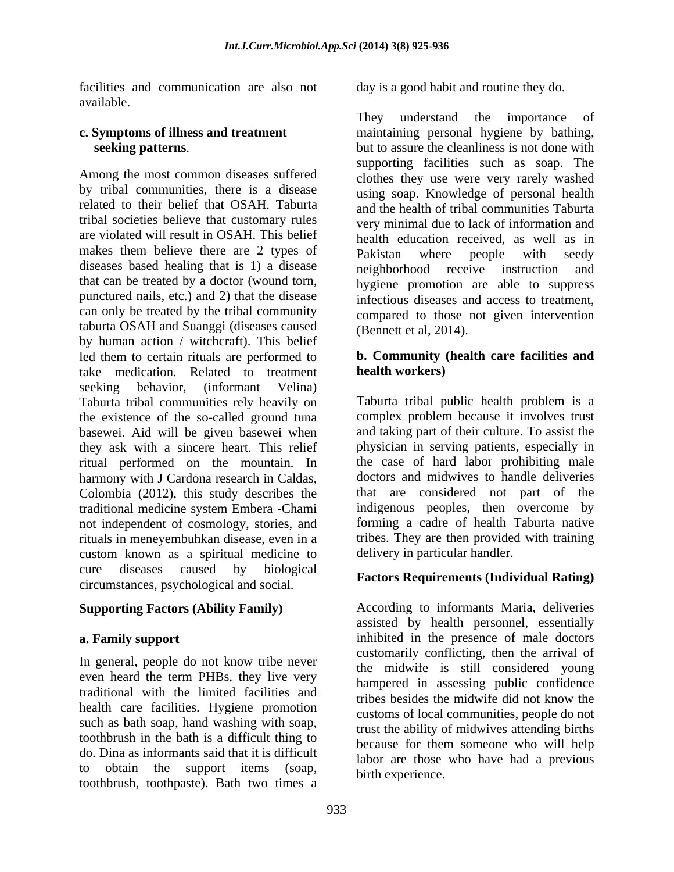facilities and communication are also not day is a good habit and routine they do. available.

by tribal communities, there is a disease related to their belief that OSAH. Taburta tribal societies believe that customary rules are violated will result in OSAH. This belief makes them believe there are 2 types of Pakistan where people with seedy diseases based healing that is 1) a disease neighborhood receive instruction and that can be treated by a doctor (wound torn,<br>punctured nails, etc.) and 2) that the disease infectious diseases and access to treatment can only be treated by the tribal community taburta OSAH and Suanggi (diseases caused by human action / witchcraft). This belief led them to certain rituals are performed to **b. Community (health care facilities and** take medication. Related to treatment seeking behavior, (informant Velina) Taburta tribal communities rely heavily on the existence of the so-called ground tuna basewei. Aid will be given basewei when they ask with a sincere heart. This relief ritual performed on the mountain. In harmony with J Cardona research in Caldas, doctors and midwives to handle deliveries<br>Colombia (2012), this study describes the that are considered not part of the traditional medicine system Embera -Chami not independent of cosmology, stories, and rituals in meneyembuhkan disease, even in a custom known as a spiritual medicine to cure diseases caused by biological **Example Property (Individual Pating)** circumstances, psychological and social.

In general, people do not know tribe never even heard the term PHBs, they live very traditional with the limited facilities and<br>tribes besides the midwife did not know the health care facilities. Hygiene promotion do. Dina as informants said that it is difficult to obtain the support items (soap, toothbrush, toothpaste). Bath two times a

**c. Symptoms of illness and treatment seeking patterns.** but to assure the cleanliness is not done with<br>supporting facilities such as soap. The<br>clothes they use were very rarely washed day is a good habit and routine they do.<br>They understand the importance of maintaining personal hygiene by bathing, but to assure the cleanliness is not done with supporting facilities such as soap. The clothes they use were very rarely washed using soap. Knowledge of personal health and the health of tribal communities Taburta very minimal due to lack of information and health education received, as well as in Pakistan where people with seedy neighborhood receive instruction and hygiene promotion are able to suppress infectious diseases and access to treatment, compared to those not given intervention (Bennett et al, 2014).

## **health workers)**

Taburta tribal public health problem is a complex problem because it involves trust and taking part of their culture. To assist the physician in serving patients, especially in the case of hard labor prohibiting male doctors and midwives to handle deliveries that are considered not part of the indigenous peoples, then overcome by forming a cadre of health Taburta native tribes. They are then provided with training delivery in particular handler.

### **Factors Requirements (Individual Rating)**

**Supporting Factors (Ability Family)**  According to informants Maria, deliveries **a. Family support** inhibited in the presence of male doctors such as bath soap, hand washing with soap,<br>toothbrush in the bath is a difficult thing to<br>hecause for them someone who will help assisted by health personnel, essentially customarily conflicting, then the arrival of the midwife is still considered young hampered in assessing public confidence tribes besides the midwife did not know the customs of local communities, people do not trust the ability of midwives attending births because for them someone who will help labor are those who have had a previous birth experience.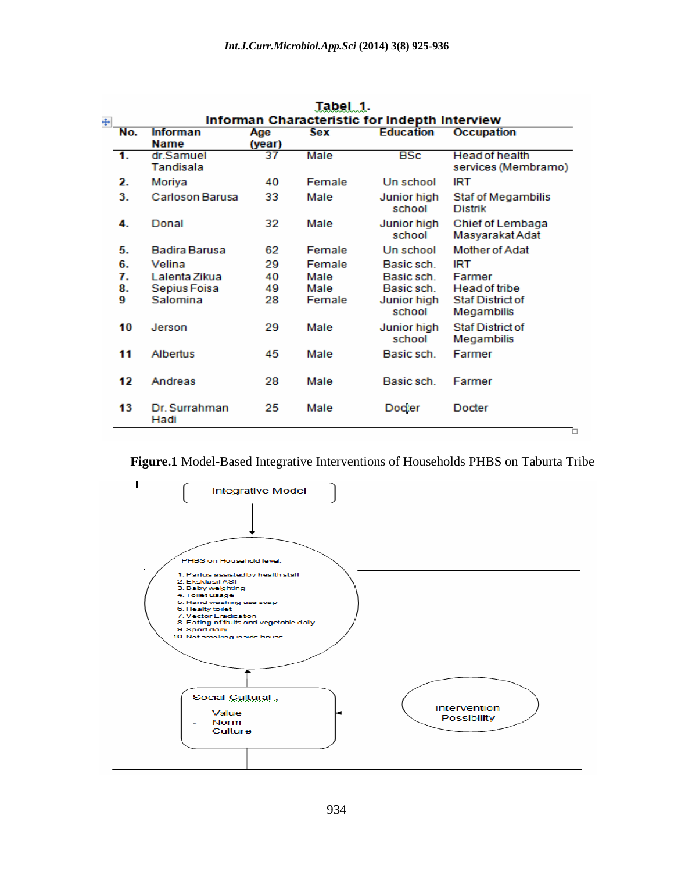| Tabel 1.                                                            |                |                                         |                |                        |                                        |                                              |  |  |
|---------------------------------------------------------------------|----------------|-----------------------------------------|----------------|------------------------|----------------------------------------|----------------------------------------------|--|--|
| Informan Characteristic for Indepth Interview<br>$\left  + \right $ |                |                                         |                |                        |                                        |                                              |  |  |
|                                                                     | No.            | <b>Informan</b><br><b>Name</b>          | Age<br>(year)  | Sex                    | <b>Education</b>                       | <b>Occupation</b>                            |  |  |
|                                                                     | 1.             | dr.Samuel<br>Tandisala                  | 37             | Male                   | <b>BSc</b>                             | <b>Head of health</b><br>services (Membramo) |  |  |
|                                                                     | 2.             | Moriya                                  | 40             | Female                 | Un school                              | IRT                                          |  |  |
|                                                                     | 3.             | Carloson Barusa                         | 33             | Male                   | Junior high<br>school                  | <b>Staf of Megambilis</b><br><b>Distrik</b>  |  |  |
|                                                                     | 4.             | Donal                                   | 32             | Male                   | Junior high<br>school                  | Chief of Lembaga<br>Masyarakat Adat          |  |  |
|                                                                     | 5.             | <b>Badira Barusa</b>                    | 62             | Female                 | Un school                              | <b>Mother of Adat</b>                        |  |  |
|                                                                     | 6.<br>7.<br>8. | Velina<br>Lalenta Zikua<br>Sepius Foisa | 29<br>40<br>49 | Female<br>Male<br>Male | Basic sch.<br>Basic sch.<br>Basic sch. | <b>IRT</b><br>Farmer<br><b>Head of tribe</b> |  |  |
|                                                                     | 9              | Salomina                                | 28             | Female                 | Junior high<br>school                  | <b>Staf District of</b><br>Megambilis        |  |  |
|                                                                     | 10             | Jerson                                  | 29             | Male                   | Junior high<br>school                  | <b>Staf District of</b><br>Megambilis        |  |  |
|                                                                     | 11             | Albertus                                | 45             | Male                   | Basic sch                              | Farmer                                       |  |  |
|                                                                     | 12             | Andreas                                 | 28             | Male                   | Basic sch.                             | Farmer                                       |  |  |
|                                                                     | 13             | Dr. Surrahman<br>Hadi                   | 25             | Male                   | Docier                                 | Docter                                       |  |  |



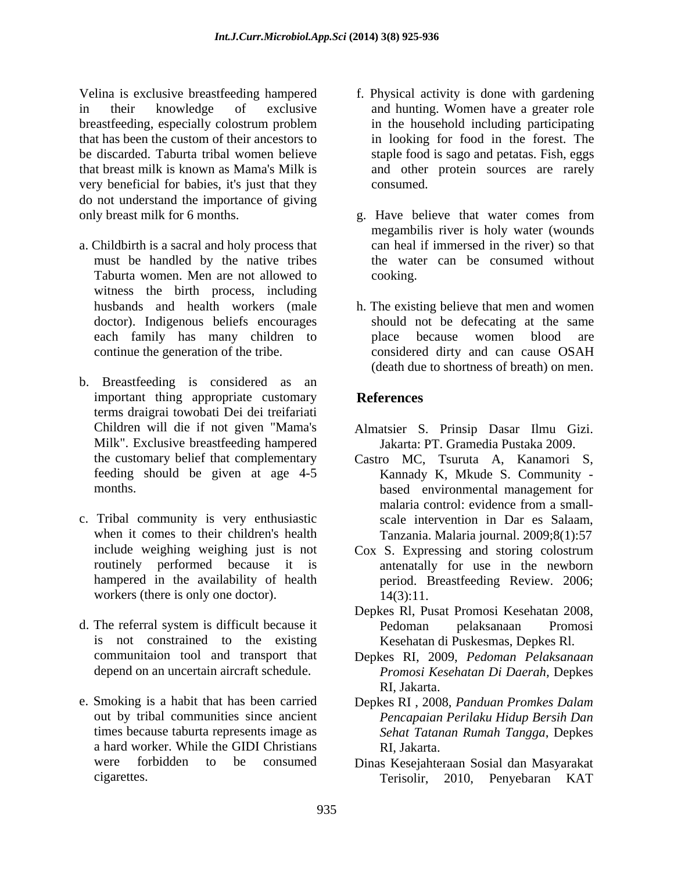Velina is exclusive breastfeeding hampered f. Physical activity is done with gardening in their knowledge of exclusive and hunting. Women have a greater role breastfeeding, especially colostrum problem that has been the custom of their ancestors to in looking for food in the forest. The be discarded. Taburta tribal women believe staple food is sago and petatas. Fish, eggs that breast milk is known as Mama's Milk is and other protein sources are rarely very beneficial for babies, it's just that they do not understand the importance of giving only breast milk for 6 months. g. Have believe that water comes from

- a. Childbirth is a sacral and holy process that must be handled by the native tribes Taburta women. Men are not allowed to witness the birth process, including
- b. Breastfeeding is considered as an important thing appropriate customary References terms draigrai towobati Dei dei treifariati Children will die if not given "Mama's Milk". Exclusive breastfeeding hampered Jakarta: PT. Gramedia Pustaka 2009.
- c. Tribal community is very enthusiastic workers (there is only one doctor).  $14(3):11$ .
- d. The referral system is difficult because it is not constrained to the existing
- e. Smoking is a habit that has been carried Depkes RI , 2008, *Panduan Promkes Dalam* out by tribal communities since ancient a hard worker. While the GIDI Christians
- in the household including participating consumed.
- megambilis river is holy water (wounds can heal if immersed in the river) so that the water can be consumed without cooking.
- husbands and health workers (male h. The existing believe that men and women doctor). Indigenous beliefs encourages should not be defecating at the same each family has many children to blace because women blood are continue the generation of the tribe. considered dirty and can cause OSAH place because women blood are (death due to shortness of breath) on men.

### **References**

- Almatsier S. Prinsip Dasar Ilmu Gizi.Jakarta: PT. Gramedia Pustaka 2009.
- the customary belief that complementary Castro MC, Tsuruta A, Kanamori S, feeding should be given at age 4-5 Kannady K, Mkude S. Community months. based environmental management for when it comes to their children's health Tanzania. Malaria journal. 2009;8(1):57 malaria control: evidence from a small scale intervention in Dar es Salaam,
- include weighing weighing just is not Cox S. Expressing and storing colostrum routinely performed because it is antenatally for use in the newborn hampered in the availability of health period. Breastfeeding Review. 2006; 14(3):11.
	- Depkes Rl, Pusat Promosi Kesehatan 2008, Pedoman pelaksanaan Promosi Kesehatan di Puskesmas, Depkes Rl.
- communitaion tool and transport that Depkes RI, 2009, *Pedoman Pelaksanaan* depend on an uncertain aircraft schedule. *Promosi Kesehatan Di Daerah,* Depkes RI, Jakarta.
- times because taburta represents image as *Sehat Tatanan Rumah Tangga*, Depkes *Pencapaian Perilaku Hidup Bersih Dan* RI, Jakarta.
- were forbidden to be consumed Dinas Kesejahteraan Sosial dan Masyarakat cigarettes. Terisolir, 2010, Penyebaran KAT